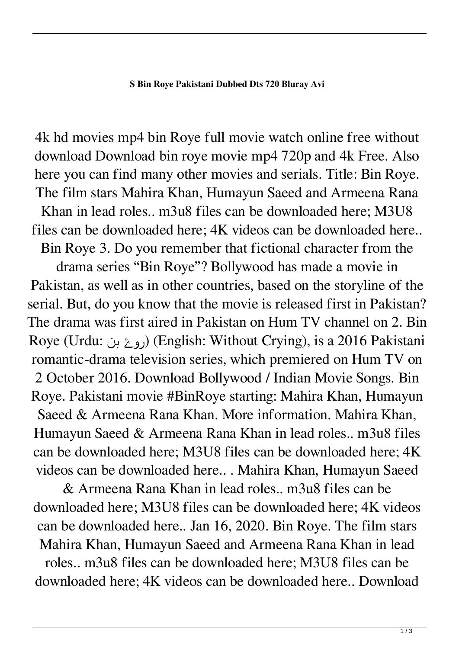4k hd movies mp4 bin Roye full movie watch online free without download Download bin roye movie mp4 720p and 4k Free. Also here you can find many other movies and serials. Title: Bin Roye. The film stars Mahira Khan, Humayun Saeed and Armeena Rana

Khan in lead roles.. m3u8 files can be downloaded here; M3U8 files can be downloaded here; 4K videos can be downloaded here..

Bin Roye 3. Do you remember that fictional character from the

drama series "Bin Roye"? Bollywood has made a movie in Pakistan, as well as in other countries, based on the storyline of the serial. But, do you know that the movie is released first in Pakistan? The drama was first aired in Pakistan on Hum TV channel on 2. Bin Roye (Urdu: بن روۓ) (English: Without Crying), is a 2016 Pakistani romantic-drama television series, which premiered on Hum TV on 2 October 2016. Download Bollywood / Indian Movie Songs. Bin Roye. Pakistani movie #BinRoye starting: Mahira Khan, Humayun Saeed & Armeena Rana Khan. More information. Mahira Khan, Humayun Saeed & Armeena Rana Khan in lead roles.. m3u8 files can be downloaded here; M3U8 files can be downloaded here; 4K videos can be downloaded here.. . Mahira Khan, Humayun Saeed

& Armeena Rana Khan in lead roles.. m3u8 files can be downloaded here; M3U8 files can be downloaded here; 4K videos can be downloaded here.. Jan 16, 2020. Bin Roye. The film stars Mahira Khan, Humayun Saeed and Armeena Rana Khan in lead roles.. m3u8 files can be downloaded here; M3U8 files can be downloaded here; 4K videos can be downloaded here.. Download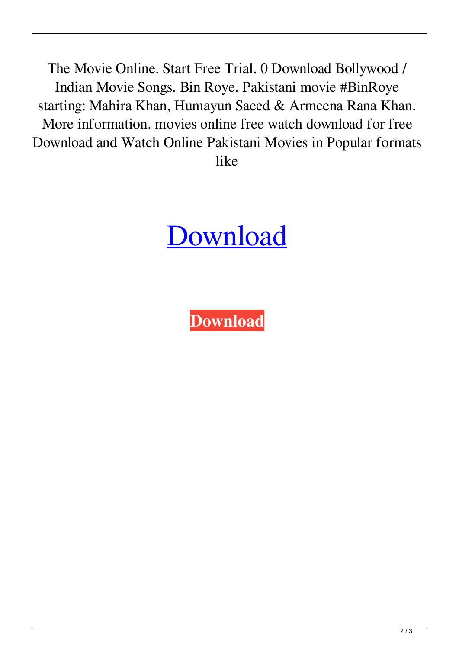The Movie Online. Start Free Trial. 0 Download Bollywood / Indian Movie Songs. Bin Roye. Pakistani movie #BinRoye starting: Mahira Khan, Humayun Saeed & Armeena Rana Khan. More information. movies online free watch download for free Download and Watch Online Pakistani Movies in Popular formats like

## **[Download](http://evacdir.com/kellers/congenially/logician/ZG93bmxvYWR8OThITWpnMVlueDhNVFkxTWpjME1EZzJObng4TWpVM05IeDhLRTBwSUhKbFlXUXRZbXh2WnlCYlJtRnpkQ0JIUlU1ZA&moraines/aGluZGkgbW92aWVzIGRvd25sb2FkIDcyMHAgQmluIFJveWUgKFBha2lzdGFuaSkaGl/waterflooding)**

**[Download](http://evacdir.com/kellers/congenially/logician/ZG93bmxvYWR8OThITWpnMVlueDhNVFkxTWpjME1EZzJObng4TWpVM05IeDhLRTBwSUhKbFlXUXRZbXh2WnlCYlJtRnpkQ0JIUlU1ZA&moraines/aGluZGkgbW92aWVzIGRvd25sb2FkIDcyMHAgQmluIFJveWUgKFBha2lzdGFuaSkaGl/waterflooding)**